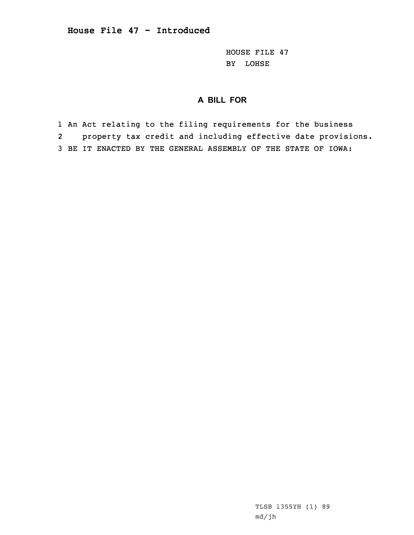HOUSE FILE 47 BY LOHSE

## **A BILL FOR**

1 An Act relating to the filing requirements for the business 2 property tax credit and including effective date provisions. 3 BE IT ENACTED BY THE GENERAL ASSEMBLY OF THE STATE OF IOWA: